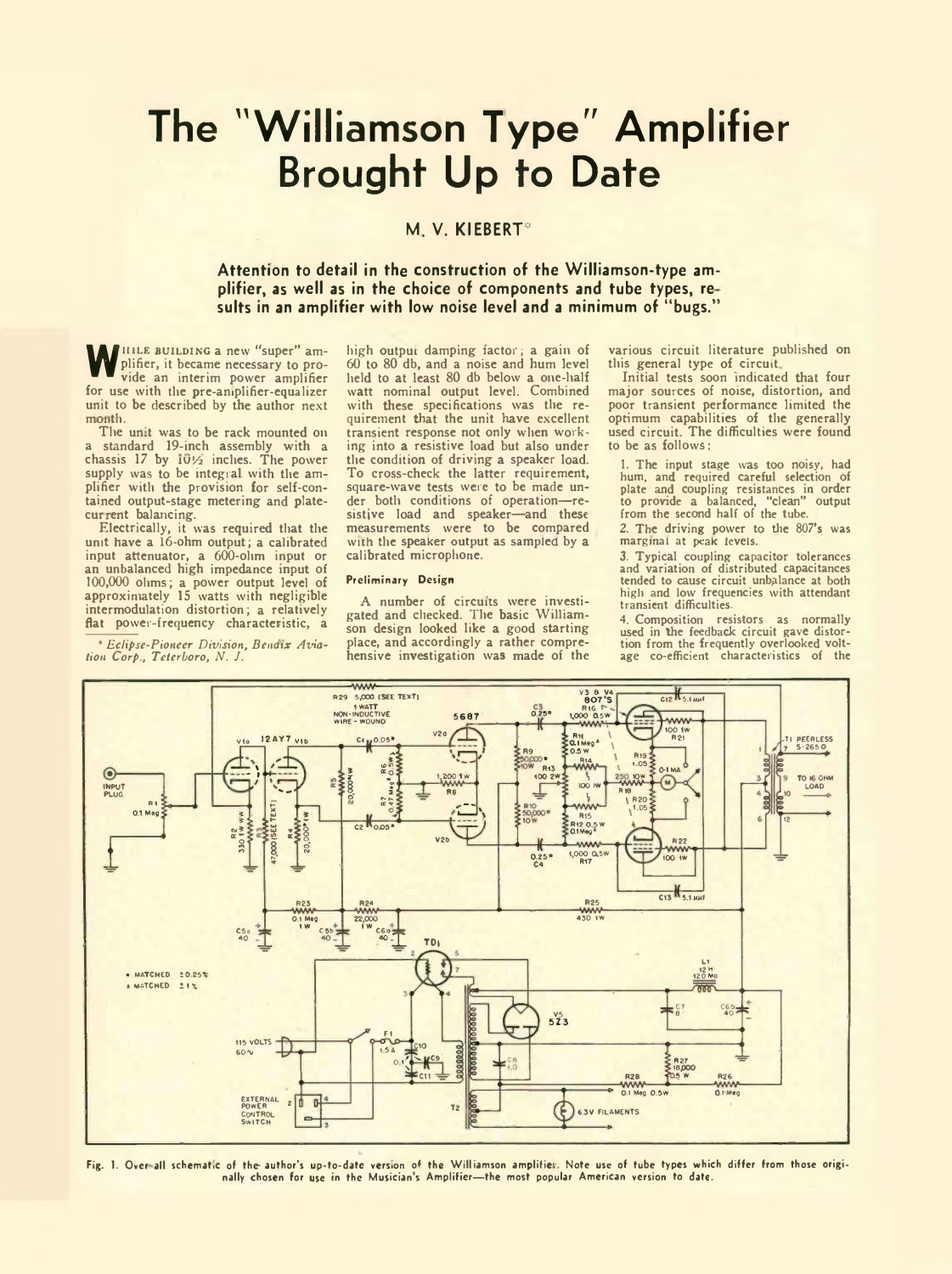# **The "Williamson Type" Amplifier Brought Up to Date**

## **M V. KlEBERT\***

## **Attention to detail in the construction of the Williamson-type amplifier, as well as in the choice of components and tube types, re suits in an amplifier with low noise level and a minimum of " bugs."**

WHILE BUILDING a new "super" am-<br>plifier, it became necessary to provide an interim power amplifier plifier, it became necessary to provide an interim power amplifier for use with the pre-aniplifier-equalizer unit to be described by the author next month.

The unit was to be rack mounted on a standard 19-inch assembly with a chassis 17 by  $10\frac{1}{2}$  inches. The power supply was to be integral with the amplifier with the provision for self-contained output-stage metering and platecurrent balancing.

Electrically, it was required that the unit have a 16-ohm output; a calibrated input attenuator, a 600-ohm input or an unbalanced high impedance input of 100,000 ohms; a power output level of approximately 15 watts with negligible intermodulation distortion; a relatively flat power-frequency characteristic, a

\* *Eclipse-Pioneer Division, Benaix Aviation Corp., Teterboro, N. J.*

high outpui damping factor; a gain of 60 to 80 db, and a noise and hum level held to at least 80 db below a one-half watt nominal output level. Combined with these specifications was the requirement that the unit have excellent transient response not only when working into a resistive load but also under the condition of driving a speaker load. To cross-check the latter requirement, square-wave tests were to be made under both conditions of operation—resistive load and speaker—and these measurements were to be compared with the speaker output as sampled by a calibrated microphone.

#### Preliminary Design

A number of circuns were investi-gated and checked. The basic Williamson design looked like a good starting place, and accordingly a rather comprehensive investigation was made of the various circuit literature published on this general type of circuit

Initial tests soon indicated that four major sources of noise, distortion, and poor transient performance limited the optimum capabilities of the generally used circuit. The difficulties were found to be as follows:

1. The input stage was too noisy, had hum, and required careful selection of plate and coupling resistances in order to provide a balanced, "clean" output from the second half of the tube.

2. The driving power to the 807's was marginal at peak levels.

3. Typical coupling capacitor tolerances and variation of distributed capacitances tended to cause circuit unbalance at both high and low frequencies with attendant transient difficulties.

4. Composition resistors as normally used in the feedback circuit gave distor-tion from the frequently overlooked voltage co-efficient characteristics of the



Fig. 1. Over all schematic of the author's up-to-date version of the Williamson amplifier. Note use of tube types which differ from those originally chosen for use in the Musician's Amplifier— the most popular American version to date.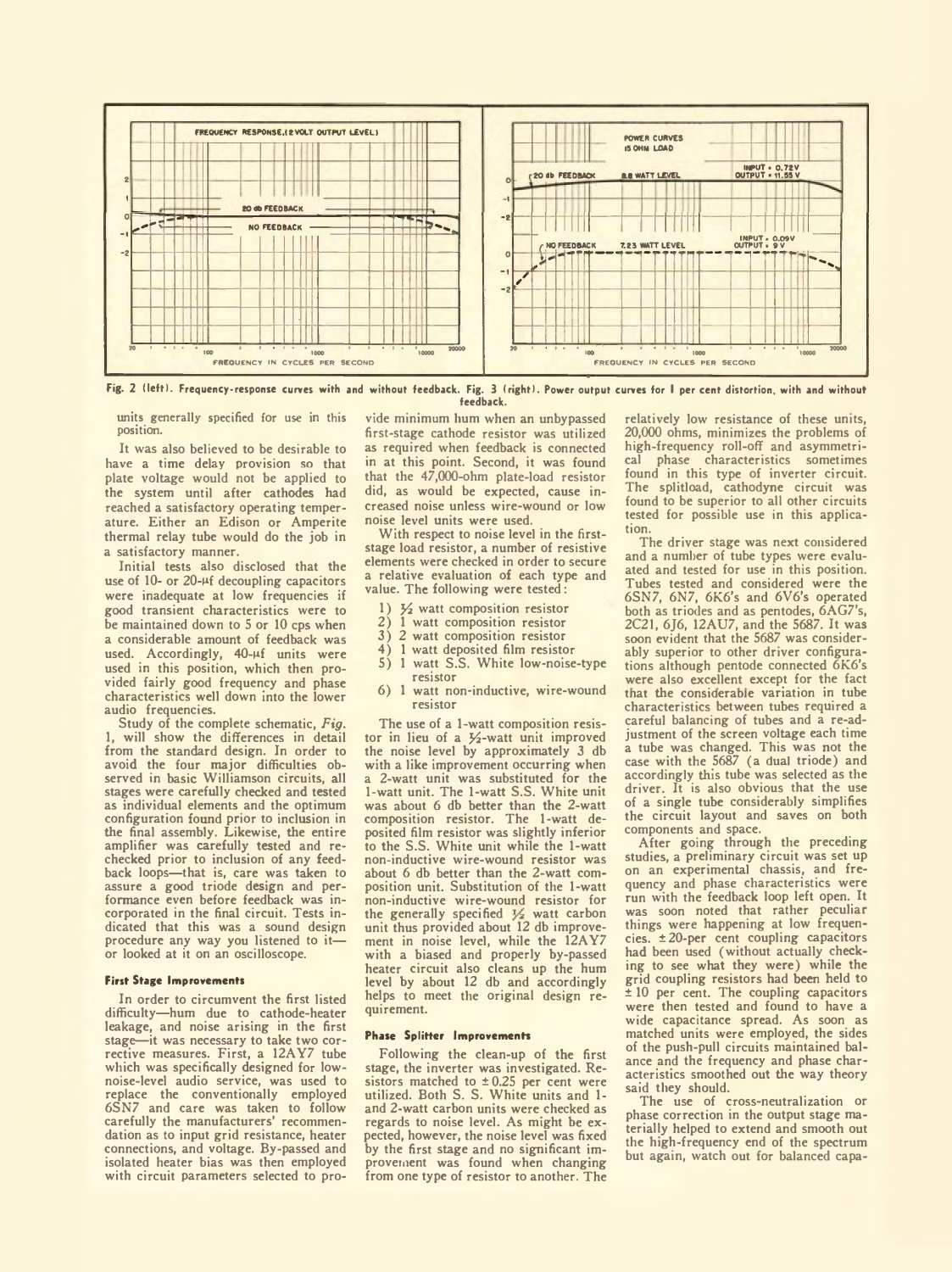

Fig. 2 (left). Frequency-response curves with and without feedback. Fig. 3 (right). Power output curves for I per cent distortion, with and without feedback.

units generally specified for use in this position.

It was also believed to be desirable to have a time delay provision so that plate voltage would not be applied to the system until after cathodes had reached a satisfactory operating temperature. Either an Edison or Amperite thermal relay tube would do the job in a satisfactory manner.

Initial tests also disclosed that the use of 10- or 20-<sup>µf</sup> decoupling capacitors were inadequate at low frequencies if good transient characteristics were to be maintained down to 5 or 10 cps when a considerable amount of feedback was used. Accordingly,  $40 - \mu f$  units were used in this position, which then provided fairly good frequency and phase characteristics well down into the lower audio frequencies.

Study of the complete schematic, *Fig.* 1, will show the differences in detail from the standard design. In order to avoid the four major difficulties ob-served in basic Williamson circuits, all stages were carefully checked and tested as individual elements and the optimum configuration found prior to inclusion in the final assembly. Likewise, the entire amplifier was carefully tested and rechecked prior to inclusion of any feedback loops—that is, care was taken to assure a good triode design and performance even before feedback was incorporated in the final circuit. Tests indicated that this was a sound design procedure any way you listened to it or looked at it on an oscilloscope.

### **First Stage Improvements**

In order to circumvent the first listed difficulty—hum due to cathode-heater leakage, and noise arising in the first stage—it was necessary to take two corrective measures. First, a 12AY7 tube which was specifically designed for lownoise-level audio service, was used to replace the conventionally employed 6SN7 and care was taken to follow carefully the manufacturers' recommendation as to input grid resistance, heater connections, and voltage. By-passed and isolated heater bias was then employed with circuit parameters selected to pro-

vide minimum hum when an unbypassed first-stage cathode resistor was utilized as required when feedback is connected in at this point. Second, it was found that the 47,000-ohm plate-load resistor did, as would be expected, cause increased noise unless wire-wound or low noise level units were used.

With respect to noise level in the firststage load resistor, a number of resistive elements were checked in order to secure a relative evaluation of each type and value. The following were tested:

- 
- 1)  $\frac{1}{2}$  watt composition resistor<br>2) 1 watt composition resistor
- 2) 1 watt composition resistor<br>3) 2 watt composition resistor  $3)$  2 watt composition resistor<br> $4)$  1 watt deposited film resistor
- 4) 1 watt deposited film resistor
- 5) 1 watt S.S. White low-noise-type resistor
- 6) 1 watt non-inductive, wire-wound resistor

The use of a 1-watt composition resistor in lieu of a  $\frac{1}{2}$ -watt unit improved the noise level by approximately 3 db with a like improvement occurring when a 2-watt unit was substituted for the 1-watt unit. The 1-watt S.S. White unit was about 6 db better than the 2-watt composition resistor. The 1-watt deposited film resistor was slightly inferior to the S.S. White unit while the 1-watt non-inductive wire-wound resistor was about 6 db better than the 2-watt composition unit. Substitution of the 1-watt non-inductive wire-wound resistor for<br>the generally specified  $\frac{V}{2}$  watt carbon<br>unit thus provided about 12 db improve-<br>ment in noise level, while the 12AY7 with a biased and properly by-passed heater circuit also cleans up the hum level by about 12 db and accordingly helps to meet the original design requirement.

#### **Phase Splitter Improvements**

Following the clean-up of the first stage, the inverter was investigated. Resistors matched to  $\pm 0.25$  per cent were utilized. Both S. S. White units and 1 and 2-watt carbon units were checked as regards to noise level. As might be expected, however, the noise level was fixed by the first stage and no significant improvement was found when changing from one type of resistor to another. The relatively low resistance of these units, 20,000 ohms, minimizes the problems of high-frequency roll-off and asymmetrical phase characteristics sometimes found in this type of inverter circuit. The splitload, cathodyne circuit was found to be superior to all other circuits tested for possible use in this application.

The driver stage was next considered and a number of tube types were evaluated and tested for use in this position. Tubes tested and considered were the 6SN7, 6N7, 6K6's and 6V6's operated both as triodes and as pentodes, 6AG7's, 2C21, 6J6, 12AU7, and the 5687. It was soon evident that the 5687 was considerably superior to other driver configurations although pentode connected 6K6's were also excellent except for the fact that the considerable variation in tube characteristics between tubes required a careful balancing of tubes and a re-adjustment of the screen voltage each time a tube was changed. This was not the case with the 5687 (a dual triode) and accordingly this tube was selected as the driver. It is also obvious that the use of a single tube considerably simplifies the circuit layout and saves on both components and space.

After going through the preceding studies, a preliminary circuit was set up on an experimental chassis, and frequency and phase characteristics were run with the feedback loop left open. It was soon noted that rather peculiar things were happening at low frequencies. ±20-per cent coupling capacitors had been used (without actually checking to see what they were) while the grid coupling resistors had been held to  $± 10$  per cent. The coupling capacitors were then tested and found to have a wide capacitance spread. As soon as matched units were employed, the sides of the push-pull circuits maintained balance and the frequency and phase characteristics smoothed out the way theory said they should.

The use of cross-neutralization or phase correction in the output stage materially helped to extend and smooth out the high-frequency end of the spectrum but again, watch out for balanced capa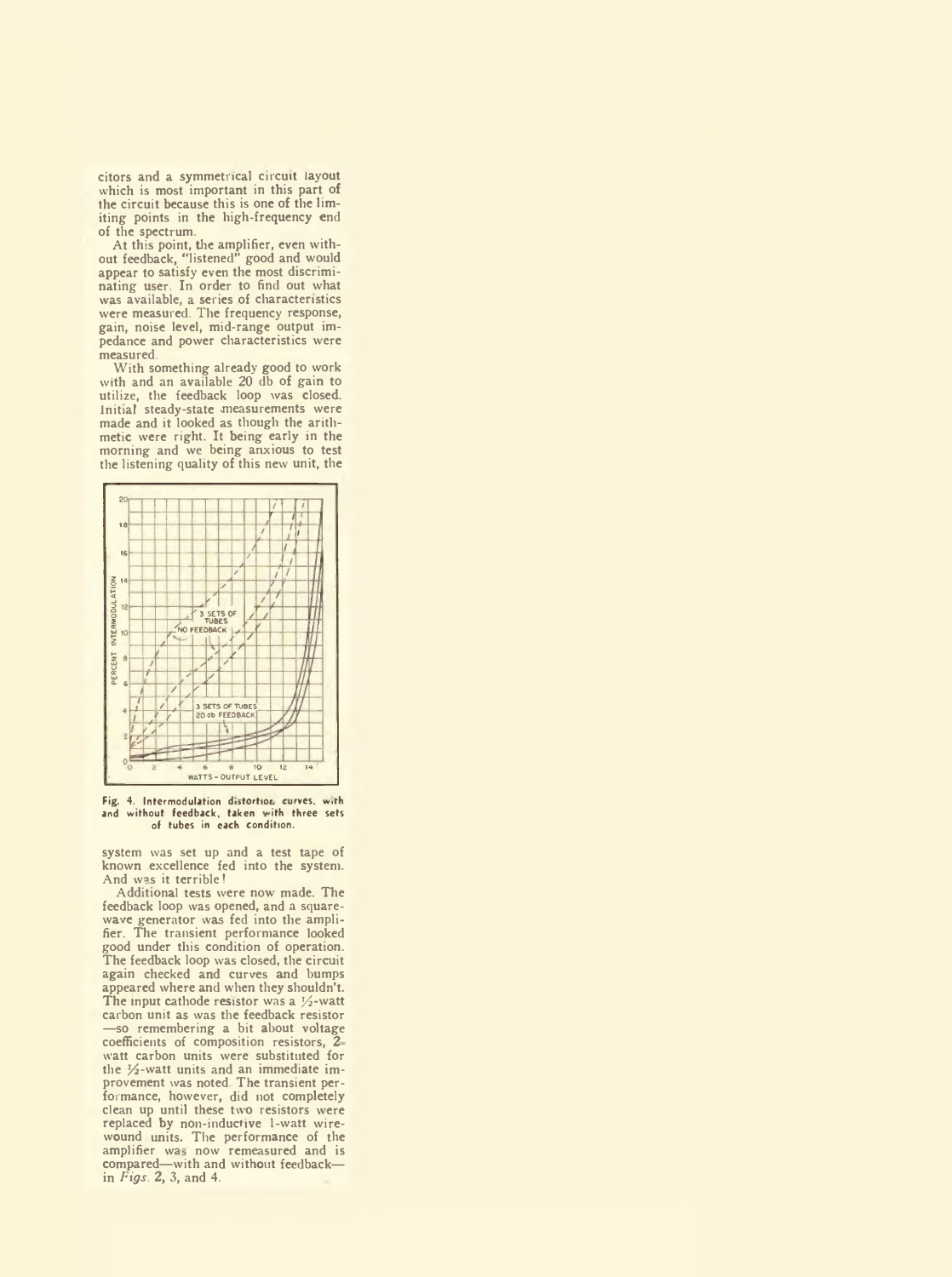citors and a symmetrical circuit layout which is most important in this part of the circuit because this is one of the limiting points in the high-frequency end of the spectrum.

At this point, the amplifier, even without feedback, "listened" good and would appear to satisfy even the most discriminating user. In order to find out what was available, a series of characteristics were measured. The frequency response, gain, noise level, mid-range output impedance and power characteristics were measured.

With something already good to work with and an available 20 db of gain to utilize, the feedback loop was closed. Initial steady-state measurements were made and it looked as though the arithmetic were right. It being early in the morning and we being anxious to test the listening quality of this new unit, the



Fig. 4. Intermodulation distortion curves, with and without feedback, taken with three sets of tubes in each condition.

system was set up and a test tape of known excellence fed into the system. And was it terrible!

Additional tests were now made. The feedback loop was opened, and a squarewave generator was fed into the amplifier. The transient performance looked good under this condition of operation. The feedback loop was closed, the circuit again checked and curves and bumps appeared where and when they shouldn't. The input cathode resistor was a  $\frac{1}{2}$ -watt carbon unit as was the feedback resistor —so remembering a bit about voltage coefficients of composition resistors, 2 watt carbon units were substituted for the  $\frac{1}{2}$ -watt units and an immediate improvement was noted. The transient performance, however, did not completely clean up until these two resistors were replaced by non-inductive 1-watt wirewound units. The performance of the amplifier was now remeasured and is<br>compared—with and without feedback in *Figs. 2,* 3, and 4.